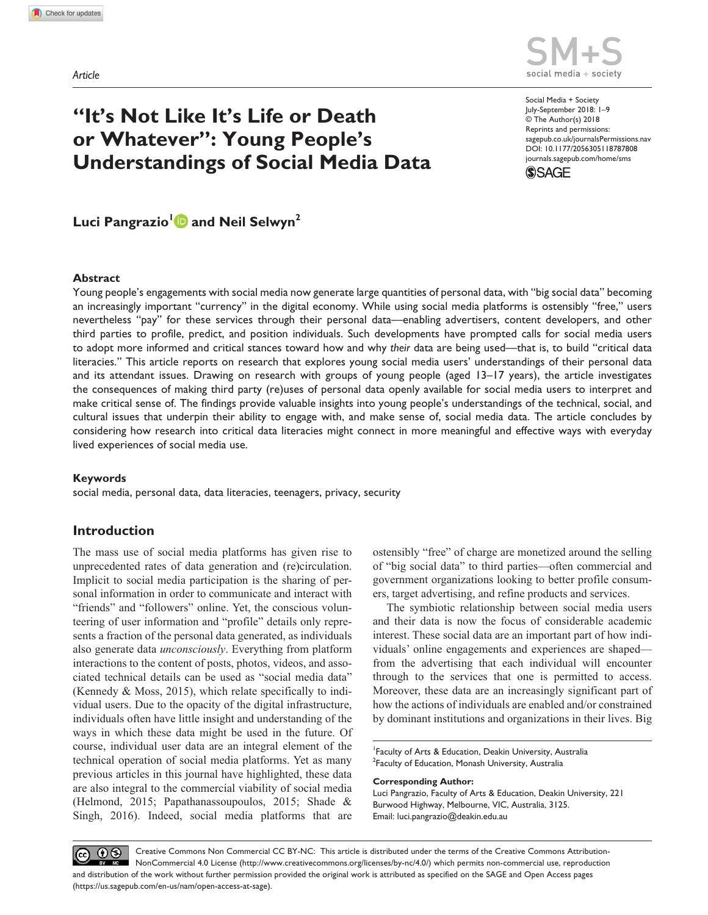

https://doi.org/10.1177/2056305118787808 DOI: 10.1177/2056305118787808 Social Media + Society July-September 2018: 1–9 © The Author(s) 2018 Reprints and permissions: [sagepub.co.uk/journalsPermissions.nav](https://uk.sagepub.com/en-gb/journals-permissions) [journals.sagepub.com/home/sms](https://journals.sagepub.com/home/sms)



Luci Pangrazio<sup>1</sup><sup>D</sup> and Neil Selwyn<sup>2</sup>

**"It's Not Like It's Life or Death** 

**or Whatever": Young People's** 

**Understandings of Social Media Data**

### **Abstract**

Young people's engagements with social media now generate large quantities of personal data, with "big social data" becoming an increasingly important "currency" in the digital economy. While using social media platforms is ostensibly "free," users nevertheless "pay" for these services through their personal data—enabling advertisers, content developers, and other third parties to profile, predict, and position individuals. Such developments have prompted calls for social media users to adopt more informed and critical stances toward how and why *their* data are being used—that is, to build "critical data literacies." This article reports on research that explores young social media users' understandings of their personal data and its attendant issues. Drawing on research with groups of young people (aged 13–17 years), the article investigates the consequences of making third party (re)uses of personal data openly available for social media users to interpret and make critical sense of. The findings provide valuable insights into young people's understandings of the technical, social, and cultural issues that underpin their ability to engage with, and make sense of, social media data. The article concludes by considering how research into critical data literacies might connect in more meaningful and effective ways with everyday lived experiences of social media use.

#### **Keywords**

social media, personal data, data literacies, teenagers, privacy, security

## **Introduction**

The mass use of social media platforms has given rise to unprecedented rates of data generation and (re)circulation. Implicit to social media participation is the sharing of personal information in order to communicate and interact with "friends" and "followers" online. Yet, the conscious volunteering of user information and "profile" details only represents a fraction of the personal data generated, as individuals also generate data *unconsciously*. Everything from platform interactions to the content of posts, photos, videos, and associated technical details can be used as "social media data" (Kennedy & Moss, 2015), which relate specifically to individual users. Due to the opacity of the digital infrastructure, individuals often have little insight and understanding of the ways in which these data might be used in the future. Of course, individual user data are an integral element of the technical operation of social media platforms. Yet as many previous articles in this journal have highlighted, these data are also integral to the commercial viability of social media (Helmond, 2015; Papathanassoupoulos, 2015; Shade & Singh, 2016). Indeed, social media platforms that are ostensibly "free" of charge are monetized around the selling of "big social data" to third parties—often commercial and government organizations looking to better profile consumers, target advertising, and refine products and services.

The symbiotic relationship between social media users and their data is now the focus of considerable academic interest. These social data are an important part of how individuals' online engagements and experiences are shaped from the advertising that each individual will encounter through to the services that one is permitted to access. Moreover, these data are an increasingly significant part of how the actions of individuals are enabled and/or constrained by dominant institutions and organizations in their lives. Big

1 Faculty of Arts & Education, Deakin University, Australia  $^{2}$ Faculty of Education, Monash University, Australia

**Corresponding Author:**

Luci Pangrazio, Faculty of Arts & Education, Deakin University, 221 Burwood Highway, Melbourne, VIC, Australia, 3125. Email: [luci.pangrazio@deakin.edu.au](mailto:luci.pangrazio@deakin.edu.au)

Creative Commons Non Commercial CC BY-NC: This article is distributed under the terms of the Creative Commons Attribution- $\circledcirc$   $\circledcirc$ NonCommercial 4.0 License (http://www.creativecommons.org/licenses/by-nc/4.0/) which permits non-commercial use, reproduction and distribution of the work without further permission provided the original work is attributed as specified on the SAGE and Open Access pages (https://us.sagepub.com/en-us/nam/open-access-at-sage).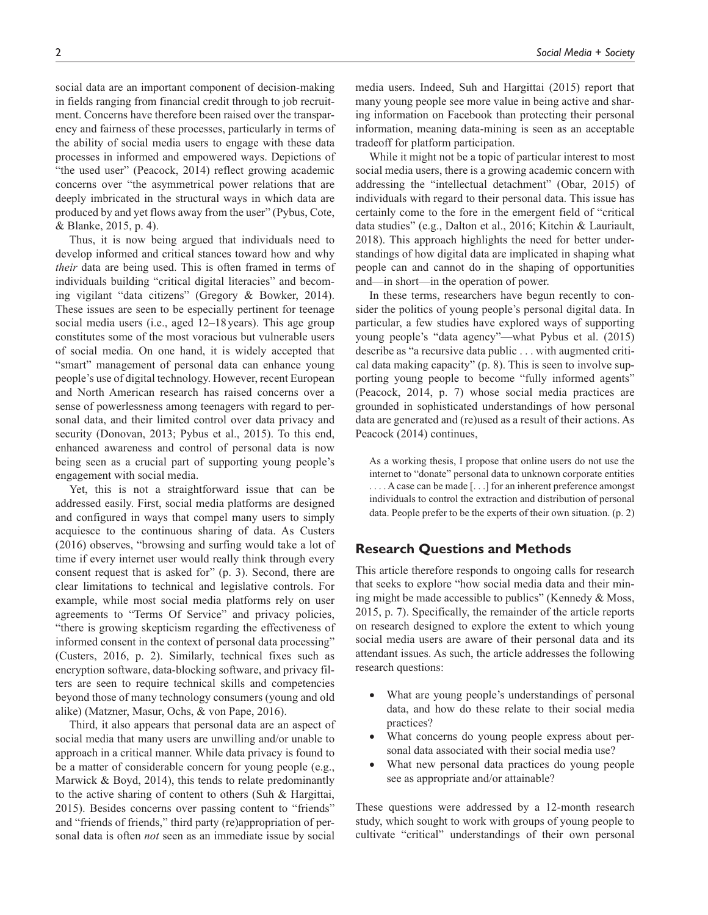social data are an important component of decision-making in fields ranging from financial credit through to job recruitment. Concerns have therefore been raised over the transparency and fairness of these processes, particularly in terms of the ability of social media users to engage with these data processes in informed and empowered ways. Depictions of "the used user" (Peacock, 2014) reflect growing academic concerns over "the asymmetrical power relations that are deeply imbricated in the structural ways in which data are produced by and yet flows away from the user" (Pybus, Cote, & Blanke, 2015, p. 4).

Thus, it is now being argued that individuals need to develop informed and critical stances toward how and why *their* data are being used. This is often framed in terms of individuals building "critical digital literacies" and becoming vigilant "data citizens" (Gregory & Bowker, 2014). These issues are seen to be especially pertinent for teenage social media users (i.e., aged 12–18 years). This age group constitutes some of the most voracious but vulnerable users of social media. On one hand, it is widely accepted that "smart" management of personal data can enhance young people's use of digital technology. However, recent European and North American research has raised concerns over a sense of powerlessness among teenagers with regard to personal data, and their limited control over data privacy and security (Donovan, 2013; Pybus et al., 2015). To this end, enhanced awareness and control of personal data is now being seen as a crucial part of supporting young people's engagement with social media.

Yet, this is not a straightforward issue that can be addressed easily. First, social media platforms are designed and configured in ways that compel many users to simply acquiesce to the continuous sharing of data. As Custers (2016) observes, "browsing and surfing would take a lot of time if every internet user would really think through every consent request that is asked for" (p. 3). Second, there are clear limitations to technical and legislative controls. For example, while most social media platforms rely on user agreements to "Terms Of Service" and privacy policies, "there is growing skepticism regarding the effectiveness of informed consent in the context of personal data processing" (Custers, 2016, p. 2). Similarly, technical fixes such as encryption software, data-blocking software, and privacy filters are seen to require technical skills and competencies beyond those of many technology consumers (young and old alike) (Matzner, Masur, Ochs, & von Pape, 2016).

Third, it also appears that personal data are an aspect of social media that many users are unwilling and/or unable to approach in a critical manner. While data privacy is found to be a matter of considerable concern for young people (e.g., Marwick & Boyd, 2014), this tends to relate predominantly to the active sharing of content to others (Suh & Hargittai, 2015). Besides concerns over passing content to "friends" and "friends of friends," third party (re)appropriation of personal data is often *not* seen as an immediate issue by social

media users. Indeed, Suh and Hargittai (2015) report that many young people see more value in being active and sharing information on Facebook than protecting their personal information, meaning data-mining is seen as an acceptable tradeoff for platform participation.

While it might not be a topic of particular interest to most social media users, there is a growing academic concern with addressing the "intellectual detachment" (Obar, 2015) of individuals with regard to their personal data. This issue has certainly come to the fore in the emergent field of "critical data studies" (e.g., Dalton et al., 2016; Kitchin & Lauriault, 2018). This approach highlights the need for better understandings of how digital data are implicated in shaping what people can and cannot do in the shaping of opportunities and—in short—in the operation of power.

In these terms, researchers have begun recently to consider the politics of young people's personal digital data. In particular, a few studies have explored ways of supporting young people's "data agency"—what Pybus et al. (2015) describe as "a recursive data public . . . with augmented critical data making capacity" (p. 8). This is seen to involve supporting young people to become "fully informed agents" (Peacock, 2014, p. 7) whose social media practices are grounded in sophisticated understandings of how personal data are generated and (re)used as a result of their actions. As Peacock (2014) continues,

As a working thesis, I propose that online users do not use the internet to "donate" personal data to unknown corporate entities . . . . A case can be made [. . .] for an inherent preference amongst individuals to control the extraction and distribution of personal data. People prefer to be the experts of their own situation. (p. 2)

# **Research Questions and Methods**

This article therefore responds to ongoing calls for research that seeks to explore "how social media data and their mining might be made accessible to publics" (Kennedy & Moss, 2015, p. 7). Specifically, the remainder of the article reports on research designed to explore the extent to which young social media users are aware of their personal data and its attendant issues. As such, the article addresses the following research questions:

- What are young people's understandings of personal data, and how do these relate to their social media practices?
- What concerns do young people express about personal data associated with their social media use?
- What new personal data practices do young people see as appropriate and/or attainable?

These questions were addressed by a 12-month research study, which sought to work with groups of young people to cultivate "critical" understandings of their own personal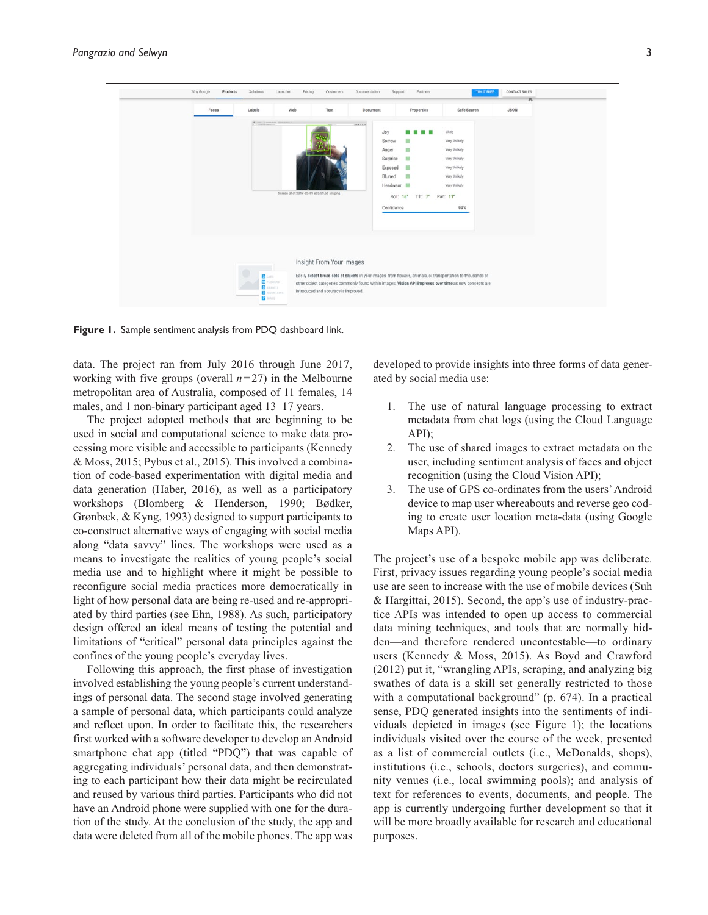| Faces | Labels                             | Web                                      | Text                     | Document |                     | Properties | Safe Search                                                                                                  | <b>JSON</b> |  |
|-------|------------------------------------|------------------------------------------|--------------------------|----------|---------------------|------------|--------------------------------------------------------------------------------------------------------------|-------------|--|
|       | All consideration and              |                                          |                          | 1111111  | Joy                 | a n<br>٠   | Likely                                                                                                       |             |  |
|       |                                    |                                          |                          |          | Sorrow              |            | Very Unlikely                                                                                                |             |  |
|       |                                    |                                          |                          |          | Anger               |            | Very Unlikely                                                                                                |             |  |
|       |                                    |                                          |                          |          | Surprise<br>Exposed | 價          | Very Unlikely<br>Very Unifiely                                                                               |             |  |
|       |                                    |                                          |                          |          | Blurred             |            | Very Unifiely                                                                                                |             |  |
|       |                                    |                                          |                          |          | Headwear <b>III</b> |            | Very Unilkely                                                                                                |             |  |
|       |                                    | Screen Shot 2017-05-09 at 5.59.55 am.png |                          |          | Roll: 16*           | Tilt: 7*   | Pan: 11*                                                                                                     |             |  |
|       |                                    |                                          |                          |          | Confidence          |            | 99%                                                                                                          |             |  |
|       |                                    |                                          |                          |          |                     |            |                                                                                                              |             |  |
|       |                                    |                                          |                          |          |                     |            |                                                                                                              |             |  |
|       |                                    |                                          |                          |          |                     |            |                                                                                                              |             |  |
|       |                                    |                                          |                          |          |                     |            |                                                                                                              |             |  |
|       |                                    |                                          | Insight From Your Images |          |                     |            |                                                                                                              |             |  |
|       | <b>Fl</b> eans                     |                                          |                          |          |                     |            | Easily detect broad sets of objects in your images, from flowers, animals, or transportation to thousands of |             |  |
|       | <b>P</b> FLOWLES<br>$\blacksquare$ |                                          |                          |          |                     |            | other object categories commonly found within images. Vision API improves over time as new concepts are      |             |  |

**Figure 1.** Sample sentiment analysis from PDQ dashboard link.

data. The project ran from July 2016 through June 2017, working with five groups (overall *n*=27) in the Melbourne metropolitan area of Australia, composed of 11 females, 14 males, and 1 non-binary participant aged 13–17 years.

The project adopted methods that are beginning to be used in social and computational science to make data processing more visible and accessible to participants (Kennedy & Moss, 2015; Pybus et al., 2015). This involved a combination of code-based experimentation with digital media and data generation (Haber, 2016), as well as a participatory workshops (Blomberg & Henderson, 1990; Bødker, Grønbæk, & Kyng, 1993) designed to support participants to co-construct alternative ways of engaging with social media along "data savvy" lines. The workshops were used as a means to investigate the realities of young people's social media use and to highlight where it might be possible to reconfigure social media practices more democratically in light of how personal data are being re-used and re-appropriated by third parties (see Ehn, 1988). As such, participatory design offered an ideal means of testing the potential and limitations of "critical" personal data principles against the confines of the young people's everyday lives.

Following this approach, the first phase of investigation involved establishing the young people's current understandings of personal data. The second stage involved generating a sample of personal data, which participants could analyze and reflect upon. In order to facilitate this, the researchers first worked with a software developer to develop an Android smartphone chat app (titled "PDQ") that was capable of aggregating individuals' personal data, and then demonstrating to each participant how their data might be recirculated and reused by various third parties. Participants who did not have an Android phone were supplied with one for the duration of the study. At the conclusion of the study, the app and data were deleted from all of the mobile phones. The app was

developed to provide insights into three forms of data generated by social media use:

- 1. The use of natural language processing to extract metadata from chat logs (using the Cloud Language API);
- 2. The use of shared images to extract metadata on the user, including sentiment analysis of faces and object recognition (using the Cloud Vision API);
- 3. The use of GPS co-ordinates from the users' Android device to map user whereabouts and reverse geo coding to create user location meta-data (using Google Maps API).

The project's use of a bespoke mobile app was deliberate. First, privacy issues regarding young people's social media use are seen to increase with the use of mobile devices (Suh & Hargittai, 2015). Second, the app's use of industry-practice APIs was intended to open up access to commercial data mining techniques, and tools that are normally hidden—and therefore rendered uncontestable—to ordinary users (Kennedy & Moss, 2015). As Boyd and Crawford (2012) put it, "wrangling APIs, scraping, and analyzing big swathes of data is a skill set generally restricted to those with a computational background" (p. 674). In a practical sense, PDQ generated insights into the sentiments of individuals depicted in images (see Figure 1); the locations individuals visited over the course of the week, presented as a list of commercial outlets (i.e., McDonalds, shops), institutions (i.e., schools, doctors surgeries), and community venues (i.e., local swimming pools); and analysis of text for references to events, documents, and people. The app is currently undergoing further development so that it will be more broadly available for research and educational purposes.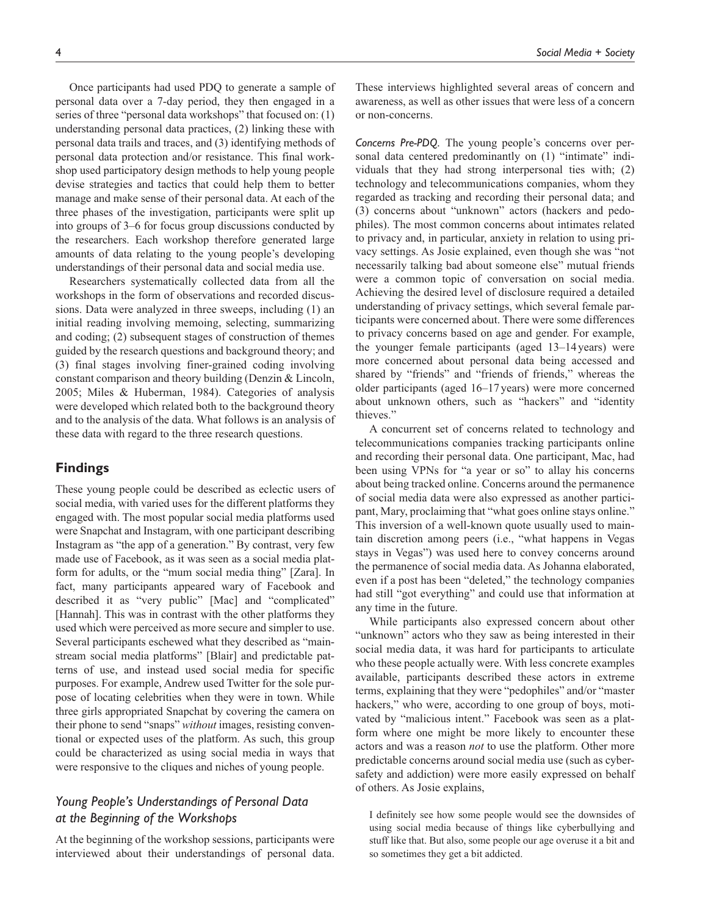Once participants had used PDQ to generate a sample of personal data over a 7-day period, they then engaged in a series of three "personal data workshops" that focused on: (1) understanding personal data practices, (2) linking these with personal data trails and traces, and (3) identifying methods of personal data protection and/or resistance. This final workshop used participatory design methods to help young people devise strategies and tactics that could help them to better manage and make sense of their personal data. At each of the three phases of the investigation, participants were split up into groups of 3–6 for focus group discussions conducted by the researchers. Each workshop therefore generated large amounts of data relating to the young people's developing understandings of their personal data and social media use.

Researchers systematically collected data from all the workshops in the form of observations and recorded discussions. Data were analyzed in three sweeps, including (1) an initial reading involving memoing, selecting, summarizing and coding; (2) subsequent stages of construction of themes guided by the research questions and background theory; and (3) final stages involving finer-grained coding involving constant comparison and theory building (Denzin & Lincoln, 2005; Miles & Huberman, 1984). Categories of analysis were developed which related both to the background theory and to the analysis of the data. What follows is an analysis of these data with regard to the three research questions.

#### **Findings**

These young people could be described as eclectic users of social media, with varied uses for the different platforms they engaged with. The most popular social media platforms used were Snapchat and Instagram, with one participant describing Instagram as "the app of a generation." By contrast, very few made use of Facebook, as it was seen as a social media platform for adults, or the "mum social media thing" [Zara]. In fact, many participants appeared wary of Facebook and described it as "very public" [Mac] and "complicated" [Hannah]. This was in contrast with the other platforms they used which were perceived as more secure and simpler to use. Several participants eschewed what they described as "mainstream social media platforms" [Blair] and predictable patterns of use, and instead used social media for specific purposes. For example, Andrew used Twitter for the sole purpose of locating celebrities when they were in town. While three girls appropriated Snapchat by covering the camera on their phone to send "snaps" *without* images, resisting conventional or expected uses of the platform. As such, this group could be characterized as using social media in ways that were responsive to the cliques and niches of young people.

# *Young People's Understandings of Personal Data at the Beginning of the Workshops*

At the beginning of the workshop sessions, participants were interviewed about their understandings of personal data.

These interviews highlighted several areas of concern and awareness, as well as other issues that were less of a concern or non-concerns.

*Concerns Pre-PDQ.* The young people's concerns over personal data centered predominantly on  $(1)$  "intimate" individuals that they had strong interpersonal ties with; (2) technology and telecommunications companies, whom they regarded as tracking and recording their personal data; and (3) concerns about "unknown" actors (hackers and pedophiles). The most common concerns about intimates related to privacy and, in particular, anxiety in relation to using privacy settings. As Josie explained, even though she was "not necessarily talking bad about someone else" mutual friends were a common topic of conversation on social media. Achieving the desired level of disclosure required a detailed understanding of privacy settings, which several female participants were concerned about. There were some differences to privacy concerns based on age and gender. For example, the younger female participants (aged 13–14 years) were more concerned about personal data being accessed and shared by "friends" and "friends of friends," whereas the older participants (aged 16–17years) were more concerned about unknown others, such as "hackers" and "identity thieves."

A concurrent set of concerns related to technology and telecommunications companies tracking participants online and recording their personal data. One participant, Mac, had been using VPNs for "a year or so" to allay his concerns about being tracked online. Concerns around the permanence of social media data were also expressed as another participant, Mary, proclaiming that "what goes online stays online." This inversion of a well-known quote usually used to maintain discretion among peers (i.e., "what happens in Vegas stays in Vegas") was used here to convey concerns around the permanence of social media data. As Johanna elaborated, even if a post has been "deleted," the technology companies had still "got everything" and could use that information at any time in the future.

While participants also expressed concern about other "unknown" actors who they saw as being interested in their social media data, it was hard for participants to articulate who these people actually were. With less concrete examples available, participants described these actors in extreme terms, explaining that they were "pedophiles" and/or "master hackers," who were, according to one group of boys, motivated by "malicious intent." Facebook was seen as a platform where one might be more likely to encounter these actors and was a reason *not* to use the platform. Other more predictable concerns around social media use (such as cybersafety and addiction) were more easily expressed on behalf of others. As Josie explains,

I definitely see how some people would see the downsides of using social media because of things like cyberbullying and stuff like that. But also, some people our age overuse it a bit and so sometimes they get a bit addicted.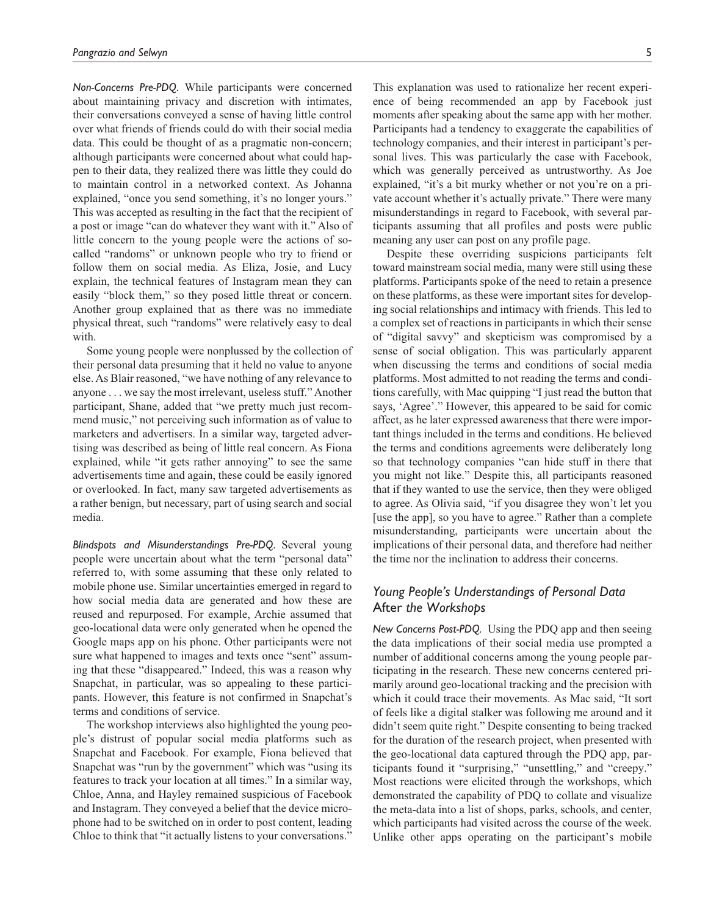*Non-Concerns Pre-PDQ.* While participants were concerned about maintaining privacy and discretion with intimates, their conversations conveyed a sense of having little control over what friends of friends could do with their social media data. This could be thought of as a pragmatic non-concern; although participants were concerned about what could happen to their data, they realized there was little they could do to maintain control in a networked context. As Johanna explained, "once you send something, it's no longer yours." This was accepted as resulting in the fact that the recipient of a post or image "can do whatever they want with it." Also of little concern to the young people were the actions of socalled "randoms" or unknown people who try to friend or follow them on social media. As Eliza, Josie, and Lucy explain, the technical features of Instagram mean they can easily "block them," so they posed little threat or concern. Another group explained that as there was no immediate physical threat, such "randoms" were relatively easy to deal with.

Some young people were nonplussed by the collection of their personal data presuming that it held no value to anyone else. As Blair reasoned, "we have nothing of any relevance to anyone . . . we say the most irrelevant, useless stuff." Another participant, Shane, added that "we pretty much just recommend music," not perceiving such information as of value to marketers and advertisers. In a similar way, targeted advertising was described as being of little real concern. As Fiona explained, while "it gets rather annoying" to see the same advertisements time and again, these could be easily ignored or overlooked. In fact, many saw targeted advertisements as a rather benign, but necessary, part of using search and social media.

*Blindspots and Misunderstandings Pre-PDQ.* Several young people were uncertain about what the term "personal data" referred to, with some assuming that these only related to mobile phone use. Similar uncertainties emerged in regard to how social media data are generated and how these are reused and repurposed. For example, Archie assumed that geo-locational data were only generated when he opened the Google maps app on his phone. Other participants were not sure what happened to images and texts once "sent" assuming that these "disappeared." Indeed, this was a reason why Snapchat, in particular, was so appealing to these participants. However, this feature is not confirmed in Snapchat's terms and conditions of service.

The workshop interviews also highlighted the young people's distrust of popular social media platforms such as Snapchat and Facebook. For example, Fiona believed that Snapchat was "run by the government" which was "using its features to track your location at all times." In a similar way, Chloe, Anna, and Hayley remained suspicious of Facebook and Instagram. They conveyed a belief that the device microphone had to be switched on in order to post content, leading Chloe to think that "it actually listens to your conversations."

This explanation was used to rationalize her recent experience of being recommended an app by Facebook just moments after speaking about the same app with her mother. Participants had a tendency to exaggerate the capabilities of technology companies, and their interest in participant's personal lives. This was particularly the case with Facebook, which was generally perceived as untrustworthy. As Joe explained, "it's a bit murky whether or not you're on a private account whether it's actually private." There were many misunderstandings in regard to Facebook, with several participants assuming that all profiles and posts were public meaning any user can post on any profile page.

Despite these overriding suspicions participants felt toward mainstream social media, many were still using these platforms. Participants spoke of the need to retain a presence on these platforms, as these were important sites for developing social relationships and intimacy with friends. This led to a complex set of reactions in participants in which their sense of "digital savvy" and skepticism was compromised by a sense of social obligation. This was particularly apparent when discussing the terms and conditions of social media platforms. Most admitted to not reading the terms and conditions carefully, with Mac quipping "I just read the button that says, 'Agree'." However, this appeared to be said for comic affect, as he later expressed awareness that there were important things included in the terms and conditions. He believed the terms and conditions agreements were deliberately long so that technology companies "can hide stuff in there that you might not like." Despite this, all participants reasoned that if they wanted to use the service, then they were obliged to agree. As Olivia said, "if you disagree they won't let you [use the app], so you have to agree." Rather than a complete misunderstanding, participants were uncertain about the implications of their personal data, and therefore had neither the time nor the inclination to address their concerns.

# *Young People's Understandings of Personal Data*  After *the Workshops*

*New Concerns Post-PDQ.* Using the PDQ app and then seeing the data implications of their social media use prompted a number of additional concerns among the young people participating in the research. These new concerns centered primarily around geo-locational tracking and the precision with which it could trace their movements. As Mac said, "It sort of feels like a digital stalker was following me around and it didn't seem quite right." Despite consenting to being tracked for the duration of the research project, when presented with the geo-locational data captured through the PDQ app, participants found it "surprising," "unsettling," and "creepy." Most reactions were elicited through the workshops, which demonstrated the capability of PDQ to collate and visualize the meta-data into a list of shops, parks, schools, and center, which participants had visited across the course of the week. Unlike other apps operating on the participant's mobile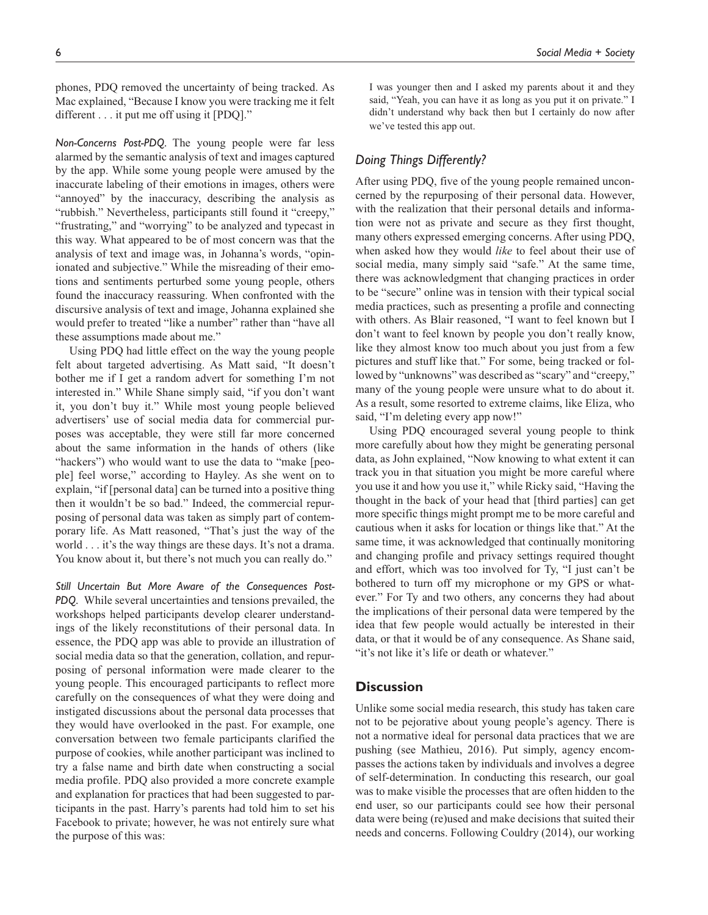phones, PDQ removed the uncertainty of being tracked. As Mac explained, "Because I know you were tracking me it felt different . . . it put me off using it [PDQ]."

*Non-Concerns Post-PDQ.* The young people were far less alarmed by the semantic analysis of text and images captured by the app. While some young people were amused by the inaccurate labeling of their emotions in images, others were "annoyed" by the inaccuracy, describing the analysis as "rubbish." Nevertheless, participants still found it "creepy," "frustrating," and "worrying" to be analyzed and typecast in this way. What appeared to be of most concern was that the analysis of text and image was, in Johanna's words, "opinionated and subjective." While the misreading of their emotions and sentiments perturbed some young people, others found the inaccuracy reassuring. When confronted with the discursive analysis of text and image, Johanna explained she would prefer to treated "like a number" rather than "have all these assumptions made about me."

Using PDQ had little effect on the way the young people felt about targeted advertising. As Matt said, "It doesn't bother me if I get a random advert for something I'm not interested in." While Shane simply said, "if you don't want it, you don't buy it." While most young people believed advertisers' use of social media data for commercial purposes was acceptable, they were still far more concerned about the same information in the hands of others (like "hackers") who would want to use the data to "make [people] feel worse," according to Hayley. As she went on to explain, "if [personal data] can be turned into a positive thing then it wouldn't be so bad." Indeed, the commercial repurposing of personal data was taken as simply part of contemporary life. As Matt reasoned, "That's just the way of the world . . . it's the way things are these days. It's not a drama. You know about it, but there's not much you can really do."

*Still Uncertain But More Aware of the Consequences Post-PDQ.* While several uncertainties and tensions prevailed, the workshops helped participants develop clearer understandings of the likely reconstitutions of their personal data. In essence, the PDQ app was able to provide an illustration of social media data so that the generation, collation, and repurposing of personal information were made clearer to the young people. This encouraged participants to reflect more carefully on the consequences of what they were doing and instigated discussions about the personal data processes that they would have overlooked in the past. For example, one conversation between two female participants clarified the purpose of cookies, while another participant was inclined to try a false name and birth date when constructing a social media profile. PDQ also provided a more concrete example and explanation for practices that had been suggested to participants in the past. Harry's parents had told him to set his Facebook to private; however, he was not entirely sure what the purpose of this was:

I was younger then and I asked my parents about it and they said, "Yeah, you can have it as long as you put it on private." I didn't understand why back then but I certainly do now after we've tested this app out.

## *Doing Things Differently?*

After using PDQ, five of the young people remained unconcerned by the repurposing of their personal data. However, with the realization that their personal details and information were not as private and secure as they first thought, many others expressed emerging concerns. After using PDQ, when asked how they would *like* to feel about their use of social media, many simply said "safe." At the same time, there was acknowledgment that changing practices in order to be "secure" online was in tension with their typical social media practices, such as presenting a profile and connecting with others. As Blair reasoned, "I want to feel known but I don't want to feel known by people you don't really know, like they almost know too much about you just from a few pictures and stuff like that." For some, being tracked or followed by "unknowns" was described as "scary" and "creepy," many of the young people were unsure what to do about it. As a result, some resorted to extreme claims, like Eliza, who said, "I'm deleting every app now!"

Using PDQ encouraged several young people to think more carefully about how they might be generating personal data, as John explained, "Now knowing to what extent it can track you in that situation you might be more careful where you use it and how you use it," while Ricky said, "Having the thought in the back of your head that [third parties] can get more specific things might prompt me to be more careful and cautious when it asks for location or things like that." At the same time, it was acknowledged that continually monitoring and changing profile and privacy settings required thought and effort, which was too involved for Ty, "I just can't be bothered to turn off my microphone or my GPS or whatever." For Ty and two others, any concerns they had about the implications of their personal data were tempered by the idea that few people would actually be interested in their data, or that it would be of any consequence. As Shane said, "it's not like it's life or death or whatever."

### **Discussion**

Unlike some social media research, this study has taken care not to be pejorative about young people's agency. There is not a normative ideal for personal data practices that we are pushing (see Mathieu, 2016). Put simply, agency encompasses the actions taken by individuals and involves a degree of self-determination. In conducting this research, our goal was to make visible the processes that are often hidden to the end user, so our participants could see how their personal data were being (re)used and make decisions that suited their needs and concerns. Following Couldry (2014), our working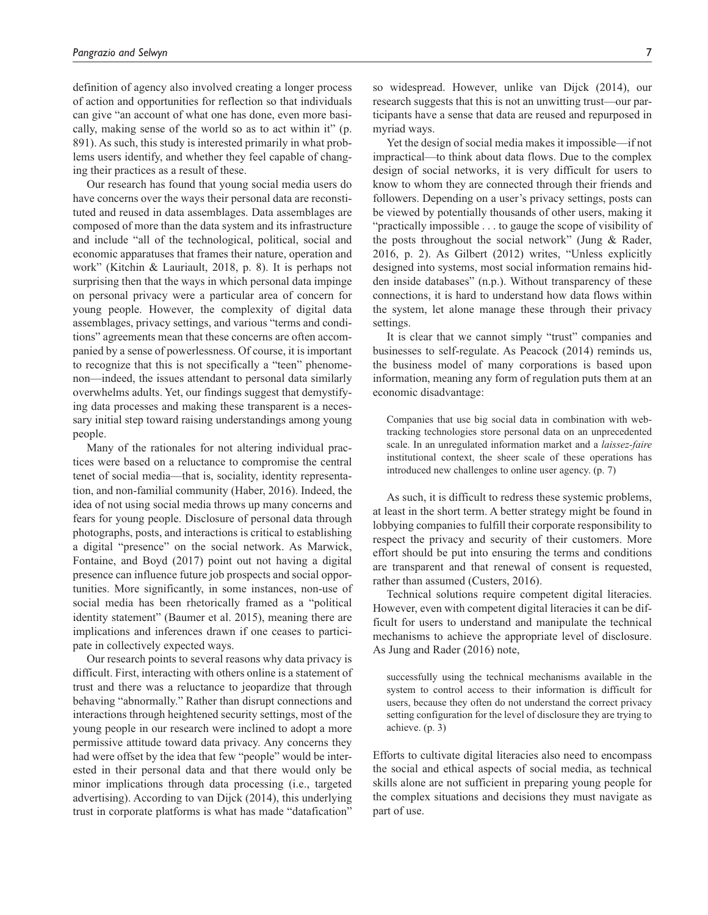definition of agency also involved creating a longer process of action and opportunities for reflection so that individuals can give "an account of what one has done, even more basically, making sense of the world so as to act within it" (p. 891). As such, this study is interested primarily in what problems users identify, and whether they feel capable of changing their practices as a result of these.

Our research has found that young social media users do have concerns over the ways their personal data are reconstituted and reused in data assemblages. Data assemblages are composed of more than the data system and its infrastructure and include "all of the technological, political, social and economic apparatuses that frames their nature, operation and work" (Kitchin & Lauriault, 2018, p. 8). It is perhaps not surprising then that the ways in which personal data impinge on personal privacy were a particular area of concern for young people. However, the complexity of digital data assemblages, privacy settings, and various "terms and conditions" agreements mean that these concerns are often accompanied by a sense of powerlessness. Of course, it is important to recognize that this is not specifically a "teen" phenomenon—indeed, the issues attendant to personal data similarly overwhelms adults. Yet, our findings suggest that demystifying data processes and making these transparent is a necessary initial step toward raising understandings among young people.

Many of the rationales for not altering individual practices were based on a reluctance to compromise the central tenet of social media—that is, sociality, identity representation, and non-familial community (Haber, 2016). Indeed, the idea of not using social media throws up many concerns and fears for young people. Disclosure of personal data through photographs, posts, and interactions is critical to establishing a digital "presence" on the social network. As Marwick, Fontaine, and Boyd (2017) point out not having a digital presence can influence future job prospects and social opportunities. More significantly, in some instances, non-use of social media has been rhetorically framed as a "political identity statement" (Baumer et al. 2015), meaning there are implications and inferences drawn if one ceases to participate in collectively expected ways.

Our research points to several reasons why data privacy is difficult. First, interacting with others online is a statement of trust and there was a reluctance to jeopardize that through behaving "abnormally." Rather than disrupt connections and interactions through heightened security settings, most of the young people in our research were inclined to adopt a more permissive attitude toward data privacy. Any concerns they had were offset by the idea that few "people" would be interested in their personal data and that there would only be minor implications through data processing (i.e., targeted advertising). According to van Dijck (2014), this underlying trust in corporate platforms is what has made "datafication"

so widespread. However, unlike van Dijck (2014), our research suggests that this is not an unwitting trust—our participants have a sense that data are reused and repurposed in myriad ways.

Yet the design of social media makes it impossible—if not impractical—to think about data flows. Due to the complex design of social networks, it is very difficult for users to know to whom they are connected through their friends and followers. Depending on a user's privacy settings, posts can be viewed by potentially thousands of other users, making it "practically impossible . . . to gauge the scope of visibility of the posts throughout the social network" (Jung & Rader, 2016, p. 2). As Gilbert (2012) writes, "Unless explicitly designed into systems, most social information remains hidden inside databases" (n.p.). Without transparency of these connections, it is hard to understand how data flows within the system, let alone manage these through their privacy settings.

It is clear that we cannot simply "trust" companies and businesses to self-regulate. As Peacock (2014) reminds us, the business model of many corporations is based upon information, meaning any form of regulation puts them at an economic disadvantage:

Companies that use big social data in combination with webtracking technologies store personal data on an unprecedented scale. In an unregulated information market and a *laissez-faire* institutional context, the sheer scale of these operations has introduced new challenges to online user agency. (p. 7)

As such, it is difficult to redress these systemic problems, at least in the short term. A better strategy might be found in lobbying companies to fulfill their corporate responsibility to respect the privacy and security of their customers. More effort should be put into ensuring the terms and conditions are transparent and that renewal of consent is requested, rather than assumed (Custers, 2016).

Technical solutions require competent digital literacies. However, even with competent digital literacies it can be difficult for users to understand and manipulate the technical mechanisms to achieve the appropriate level of disclosure. As Jung and Rader (2016) note,

successfully using the technical mechanisms available in the system to control access to their information is difficult for users, because they often do not understand the correct privacy setting configuration for the level of disclosure they are trying to achieve. (p. 3)

Efforts to cultivate digital literacies also need to encompass the social and ethical aspects of social media, as technical skills alone are not sufficient in preparing young people for the complex situations and decisions they must navigate as part of use.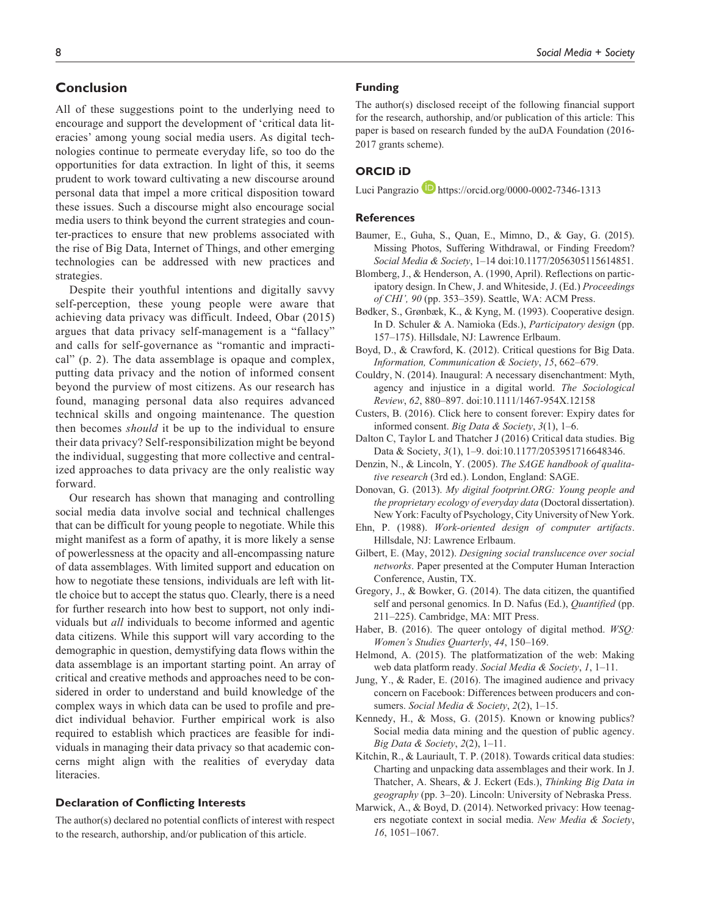# **Conclusion**

All of these suggestions point to the underlying need to encourage and support the development of 'critical data literacies' among young social media users. As digital technologies continue to permeate everyday life, so too do the opportunities for data extraction. In light of this, it seems prudent to work toward cultivating a new discourse around personal data that impel a more critical disposition toward these issues. Such a discourse might also encourage social media users to think beyond the current strategies and counter-practices to ensure that new problems associated with the rise of Big Data, Internet of Things, and other emerging technologies can be addressed with new practices and strategies.

Despite their youthful intentions and digitally savvy self-perception, these young people were aware that achieving data privacy was difficult. Indeed, Obar (2015) argues that data privacy self-management is a "fallacy" and calls for self-governance as "romantic and impractical" (p. 2). The data assemblage is opaque and complex, putting data privacy and the notion of informed consent beyond the purview of most citizens. As our research has found, managing personal data also requires advanced technical skills and ongoing maintenance. The question then becomes *should* it be up to the individual to ensure their data privacy? Self-responsibilization might be beyond the individual, suggesting that more collective and centralized approaches to data privacy are the only realistic way forward.

Our research has shown that managing and controlling social media data involve social and technical challenges that can be difficult for young people to negotiate. While this might manifest as a form of apathy, it is more likely a sense of powerlessness at the opacity and all-encompassing nature of data assemblages. With limited support and education on how to negotiate these tensions, individuals are left with little choice but to accept the status quo. Clearly, there is a need for further research into how best to support, not only individuals but *all* individuals to become informed and agentic data citizens. While this support will vary according to the demographic in question, demystifying data flows within the data assemblage is an important starting point. An array of critical and creative methods and approaches need to be considered in order to understand and build knowledge of the complex ways in which data can be used to profile and predict individual behavior. Further empirical work is also required to establish which practices are feasible for individuals in managing their data privacy so that academic concerns might align with the realities of everyday data literacies.

#### **Declaration of Conflicting Interests**

The author(s) declared no potential conflicts of interest with respect to the research, authorship, and/or publication of this article.

### **Funding**

The author(s) disclosed receipt of the following financial support for the research, authorship, and/or publication of this article: This paper is based on research funded by the auDA Foundation (2016- 2017 grants scheme).

## **ORCID iD**

Luci Pangrazio **D** <https://orcid.org/0000-0002-7346-1313>

#### **References**

- Baumer, E., Guha, S., Quan, E., Mimno, D., & Gay, G. (2015). Missing Photos, Suffering Withdrawal, or Finding Freedom? *Social Media & Society*, 1–14 doi:10.1177/2056305115614851.
- Blomberg, J., & Henderson, A. (1990, April). Reflections on participatory design. In Chew, J. and Whiteside, J. (Ed.) *Proceedings of CHI', 90* (pp. 353–359). Seattle, WA: ACM Press.
- Bødker, S., Grønbæk, K., & Kyng, M. (1993). Cooperative design. In D. Schuler & A. Namioka (Eds.), *Participatory design* (pp. 157–175). Hillsdale, NJ: Lawrence Erlbaum.
- Boyd, D., & Crawford, K. (2012). Critical questions for Big Data. *Information, Communication & Society*, *15*, 662–679.
- Couldry, N. (2014). Inaugural: A necessary disenchantment: Myth, agency and injustice in a digital world. *The Sociological Review*, *62*, 880–897. doi:10.1111/1467-954X.12158
- Custers, B. (2016). Click here to consent forever: Expiry dates for informed consent. *Big Data & Society*, *3*(1), 1–6.
- Dalton C, Taylor L and Thatcher J (2016) Critical data studies. Big Data & Society, *3*(1), 1–9. doi:10.1177/2053951716648346.
- Denzin, N., & Lincoln, Y. (2005). *The SAGE handbook of qualitative research* (3rd ed.). London, England: SAGE.
- Donovan, G. (2013). *My digital footprint.ORG: Young people and the proprietary ecology of everyday data* (Doctoral dissertation). New York: Faculty of Psychology, City University of New York.
- Ehn, P. (1988). *Work-oriented design of computer artifacts*. Hillsdale, NJ: Lawrence Erlbaum.
- Gilbert, E. (May, 2012). *Designing social translucence over social networks*. Paper presented at the Computer Human Interaction Conference, Austin, TX.
- Gregory, J., & Bowker, G. (2014). The data citizen, the quantified self and personal genomics. In D. Nafus (Ed.), *Quantified* (pp. 211–225). Cambridge, MA: MIT Press.
- Haber, B. (2016). The queer ontology of digital method. *WSQ: Women's Studies Quarterly*, *44*, 150–169.
- Helmond, A. (2015). The platformatization of the web: Making web data platform ready. *Social Media & Society*, *1*, 1–11.
- Jung, Y., & Rader, E. (2016). The imagined audience and privacy concern on Facebook: Differences between producers and consumers. *Social Media & Society*, *2*(2), 1–15.
- Kennedy, H., & Moss, G. (2015). Known or knowing publics? Social media data mining and the question of public agency. *Big Data & Society*, *2*(2), 1–11.
- Kitchin, R., & Lauriault, T. P. (2018). Towards critical data studies: Charting and unpacking data assemblages and their work. In J. Thatcher, A. Shears, & J. Eckert (Eds.), *Thinking Big Data in geography* (pp. 3–20). Lincoln: University of Nebraska Press.
- Marwick, A., & Boyd, D. (2014). Networked privacy: How teenagers negotiate context in social media. *New Media & Society*, *16*, 1051–1067.